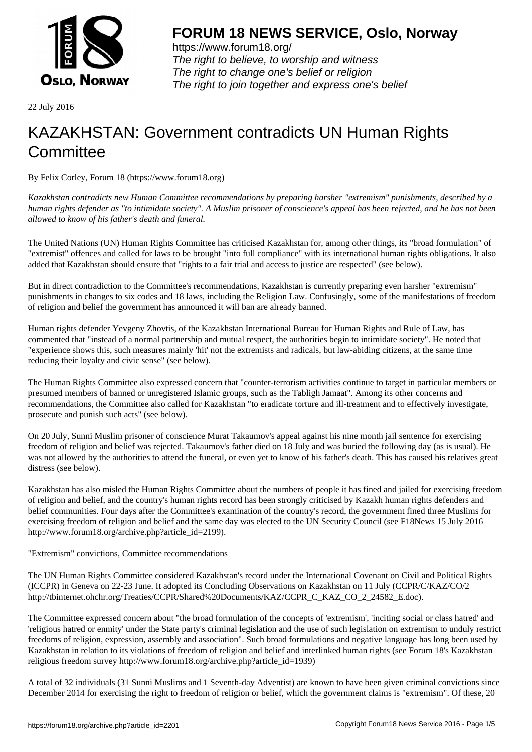

https://www.forum18.org/ The right to believe, to worship and witness The right to change one's belief or religion [The right to join together a](https://www.forum18.org/)nd express one's belief

22 July 2016

## [KAZAKHSTAN:](https://www.forum18.org) Government contradicts UN Human Rights **Committee**

By Felix Corley, Forum 18 (https://www.forum18.org)

*Kazakhstan contradicts new Human Committee recommendations by preparing harsher "extremism" punishments, described by a human rights defender as "to intimidate society". A Muslim prisoner of conscience's appeal has been rejected, and he has not been allowed to know of his father's death and funeral.*

The United Nations (UN) Human Rights Committee has criticised Kazakhstan for, among other things, its "broad formulation" of "extremist" offences and called for laws to be brought "into full compliance" with its international human rights obligations. It also added that Kazakhstan should ensure that "rights to a fair trial and access to justice are respected" (see below).

But in direct contradiction to the Committee's recommendations, Kazakhstan is currently preparing even harsher "extremism" punishments in changes to six codes and 18 laws, including the Religion Law. Confusingly, some of the manifestations of freedom of religion and belief the government has announced it will ban are already banned.

Human rights defender Yevgeny Zhovtis, of the Kazakhstan International Bureau for Human Rights and Rule of Law, has commented that "instead of a normal partnership and mutual respect, the authorities begin to intimidate society". He noted that "experience shows this, such measures mainly 'hit' not the extremists and radicals, but law-abiding citizens, at the same time reducing their loyalty and civic sense" (see below).

The Human Rights Committee also expressed concern that "counter-terrorism activities continue to target in particular members or presumed members of banned or unregistered Islamic groups, such as the Tabligh Jamaat". Among its other concerns and recommendations, the Committee also called for Kazakhstan "to eradicate torture and ill-treatment and to effectively investigate, prosecute and punish such acts" (see below).

On 20 July, Sunni Muslim prisoner of conscience Murat Takaumov's appeal against his nine month jail sentence for exercising freedom of religion and belief was rejected. Takaumov's father died on 18 July and was buried the following day (as is usual). He was not allowed by the authorities to attend the funeral, or even yet to know of his father's death. This has caused his relatives great distress (see below).

Kazakhstan has also misled the Human Rights Committee about the numbers of people it has fined and jailed for exercising freedom of religion and belief, and the country's human rights record has been strongly criticised by Kazakh human rights defenders and belief communities. Four days after the Committee's examination of the country's record, the government fined three Muslims for exercising freedom of religion and belief and the same day was elected to the UN Security Council (see F18News 15 July 2016 http://www.forum18.org/archive.php?article\_id=2199).

"Extremism" convictions, Committee recommendations

The UN Human Rights Committee considered Kazakhstan's record under the International Covenant on Civil and Political Rights (ICCPR) in Geneva on 22-23 June. It adopted its Concluding Observations on Kazakhstan on 11 July (CCPR/C/KAZ/CO/2 http://tbinternet.ohchr.org/Treaties/CCPR/Shared%20Documents/KAZ/CCPR\_C\_KAZ\_CO\_2\_24582\_E.doc).

The Committee expressed concern about "the broad formulation of the concepts of 'extremism', 'inciting social or class hatred' and 'religious hatred or enmity' under the State party's criminal legislation and the use of such legislation on extremism to unduly restrict freedoms of religion, expression, assembly and association". Such broad formulations and negative language has long been used by Kazakhstan in relation to its violations of freedom of religion and belief and interlinked human rights (see Forum 18's Kazakhstan religious freedom survey http://www.forum18.org/archive.php?article\_id=1939)

A total of 32 individuals (31 Sunni Muslims and 1 Seventh-day Adventist) are known to have been given criminal convictions since December 2014 for exercising the right to freedom of religion or belief, which the government claims is "extremism". Of these, 20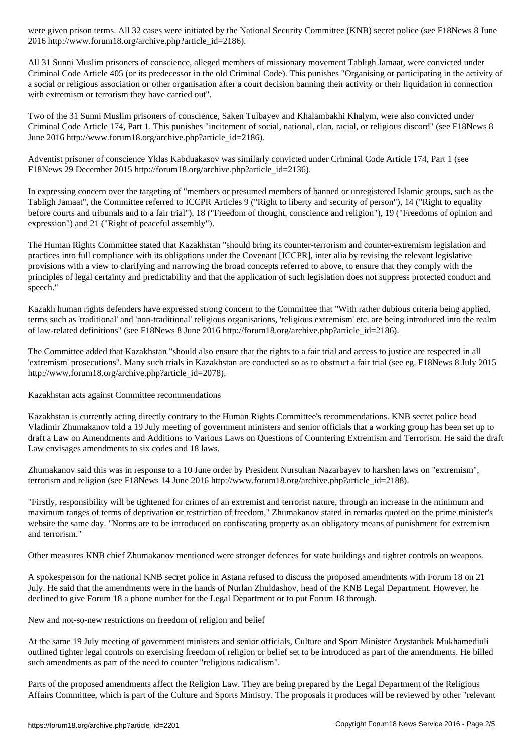$\overline{\phantom{a}}$  , and the phase of the  $\overline{\phantom{a}}$ 

All 31 Sunni Muslim prisoners of conscience, alleged members of missionary movement Tabligh Jamaat, were convicted under Criminal Code Article 405 (or its predecessor in the old Criminal Code). This punishes "Organising or participating in the activity of a social or religious association or other organisation after a court decision banning their activity or their liquidation in connection with extremism or terrorism they have carried out".

Two of the 31 Sunni Muslim prisoners of conscience, Saken Tulbayev and Khalambakhi Khalym, were also convicted under Criminal Code Article 174, Part 1. This punishes "incitement of social, national, clan, racial, or religious discord" (see F18News 8 June 2016 http://www.forum18.org/archive.php?article\_id=2186).

Adventist prisoner of conscience Yklas Kabduakasov was similarly convicted under Criminal Code Article 174, Part 1 (see F18News 29 December 2015 http://forum18.org/archive.php?article\_id=2136).

In expressing concern over the targeting of "members or presumed members of banned or unregistered Islamic groups, such as the Tabligh Jamaat", the Committee referred to ICCPR Articles 9 ("Right to liberty and security of person"), 14 ("Right to equality before courts and tribunals and to a fair trial"), 18 ("Freedom of thought, conscience and religion"), 19 ("Freedoms of opinion and expression") and 21 ("Right of peaceful assembly").

The Human Rights Committee stated that Kazakhstan "should bring its counter-terrorism and counter-extremism legislation and practices into full compliance with its obligations under the Covenant [ICCPR], inter alia by revising the relevant legislative provisions with a view to clarifying and narrowing the broad concepts referred to above, to ensure that they comply with the principles of legal certainty and predictability and that the application of such legislation does not suppress protected conduct and speech."

Kazakh human rights defenders have expressed strong concern to the Committee that "With rather dubious criteria being applied, terms such as 'traditional' and 'non-traditional' religious organisations, 'religious extremism' etc. are being introduced into the realm of law-related definitions" (see F18News 8 June 2016 http://forum18.org/archive.php?article\_id=2186).

The Committee added that Kazakhstan "should also ensure that the rights to a fair trial and access to justice are respected in all 'extremism' prosecutions". Many such trials in Kazakhstan are conducted so as to obstruct a fair trial (see eg. F18News 8 July 2015 http://www.forum18.org/archive.php?article\_id=2078).

Kazakhstan acts against Committee recommendations

Kazakhstan is currently acting directly contrary to the Human Rights Committee's recommendations. KNB secret police head Vladimir Zhumakanov told a 19 July meeting of government ministers and senior officials that a working group has been set up to draft a Law on Amendments and Additions to Various Laws on Questions of Countering Extremism and Terrorism. He said the draft Law envisages amendments to six codes and 18 laws.

Zhumakanov said this was in response to a 10 June order by President Nursultan Nazarbayev to harshen laws on "extremism", terrorism and religion (see F18News 14 June 2016 http://www.forum18.org/archive.php?article\_id=2188).

"Firstly, responsibility will be tightened for crimes of an extremist and terrorist nature, through an increase in the minimum and maximum ranges of terms of deprivation or restriction of freedom," Zhumakanov stated in remarks quoted on the prime minister's website the same day. "Norms are to be introduced on confiscating property as an obligatory means of punishment for extremism and terrorism."

Other measures KNB chief Zhumakanov mentioned were stronger defences for state buildings and tighter controls on weapons.

A spokesperson for the national KNB secret police in Astana refused to discuss the proposed amendments with Forum 18 on 21 July. He said that the amendments were in the hands of Nurlan Zhuldashov, head of the KNB Legal Department. However, he declined to give Forum 18 a phone number for the Legal Department or to put Forum 18 through.

New and not-so-new restrictions on freedom of religion and belief

At the same 19 July meeting of government ministers and senior officials, Culture and Sport Minister Arystanbek Mukhamediuli outlined tighter legal controls on exercising freedom of religion or belief set to be introduced as part of the amendments. He billed such amendments as part of the need to counter "religious radicalism".

Parts of the proposed amendments affect the Religion Law. They are being prepared by the Legal Department of the Religious Affairs Committee, which is part of the Culture and Sports Ministry. The proposals it produces will be reviewed by other "relevant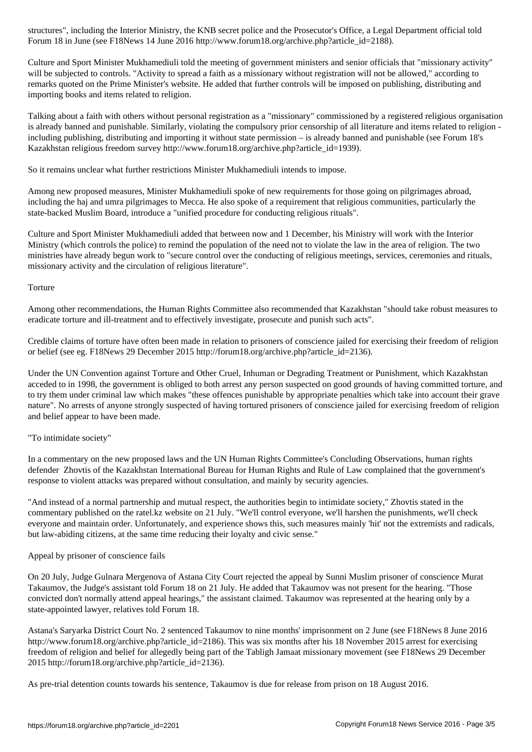Culture and Sport Minister Mukhamediuli told the meeting of government ministers and senior officials that "missionary activity" will be subjected to controls. "Activity to spread a faith as a missionary without registration will not be allowed," according to remarks quoted on the Prime Minister's website. He added that further controls will be imposed on publishing, distributing and importing books and items related to religion.

Talking about a faith with others without personal registration as a "missionary" commissioned by a registered religious organisation is already banned and punishable. Similarly, violating the compulsory prior censorship of all literature and items related to religion including publishing, distributing and importing it without state permission – is already banned and punishable (see Forum 18's Kazakhstan religious freedom survey http://www.forum18.org/archive.php?article\_id=1939).

So it remains unclear what further restrictions Minister Mukhamediuli intends to impose.

For a set  $\mathcal{S}$  in  $\mathcal{S}$  are all  $\mathcal{S}$  are article in  $\mathcal{S}$ . Or arrive to  $\mathcal{S}$ 

Among new proposed measures, Minister Mukhamediuli spoke of new requirements for those going on pilgrimages abroad, including the haj and umra pilgrimages to Mecca. He also spoke of a requirement that religious communities, particularly the state-backed Muslim Board, introduce a "unified procedure for conducting religious rituals".

Culture and Sport Minister Mukhamediuli added that between now and 1 December, his Ministry will work with the Interior Ministry (which controls the police) to remind the population of the need not to violate the law in the area of religion. The two ministries have already begun work to "secure control over the conducting of religious meetings, services, ceremonies and rituals, missionary activity and the circulation of religious literature".

**Torture** 

Among other recommendations, the Human Rights Committee also recommended that Kazakhstan "should take robust measures to eradicate torture and ill-treatment and to effectively investigate, prosecute and punish such acts".

Credible claims of torture have often been made in relation to prisoners of conscience jailed for exercising their freedom of religion or belief (see eg. F18News 29 December 2015 http://forum18.org/archive.php?article\_id=2136).

Under the UN Convention against Torture and Other Cruel, Inhuman or Degrading Treatment or Punishment, which Kazakhstan acceded to in 1998, the government is obliged to both arrest any person suspected on good grounds of having committed torture, and to try them under criminal law which makes "these offences punishable by appropriate penalties which take into account their grave nature". No arrests of anyone strongly suspected of having tortured prisoners of conscience jailed for exercising freedom of religion and belief appear to have been made.

"To intimidate society"

In a commentary on the new proposed laws and the UN Human Rights Committee's Concluding Observations, human rights defender Zhovtis of the Kazakhstan International Bureau for Human Rights and Rule of Law complained that the government's response to violent attacks was prepared without consultation, and mainly by security agencies.

"And instead of a normal partnership and mutual respect, the authorities begin to intimidate society," Zhovtis stated in the commentary published on the ratel.kz website on 21 July. "We'll control everyone, we'll harshen the punishments, we'll check everyone and maintain order. Unfortunately, and experience shows this, such measures mainly 'hit' not the extremists and radicals, but law-abiding citizens, at the same time reducing their loyalty and civic sense."

## Appeal by prisoner of conscience fails

On 20 July, Judge Gulnara Mergenova of Astana City Court rejected the appeal by Sunni Muslim prisoner of conscience Murat Takaumov, the Judge's assistant told Forum 18 on 21 July. He added that Takaumov was not present for the hearing. "Those convicted don't normally attend appeal hearings," the assistant claimed. Takaumov was represented at the hearing only by a state-appointed lawyer, relatives told Forum 18.

Astana's Saryarka District Court No. 2 sentenced Takaumov to nine months' imprisonment on 2 June (see F18News 8 June 2016 http://www.forum18.org/archive.php?article\_id=2186). This was six months after his 18 November 2015 arrest for exercising freedom of religion and belief for allegedly being part of the Tabligh Jamaat missionary movement (see F18News 29 December 2015 http://forum18.org/archive.php?article\_id=2136).

As pre-trial detention counts towards his sentence, Takaumov is due for release from prison on 18 August 2016.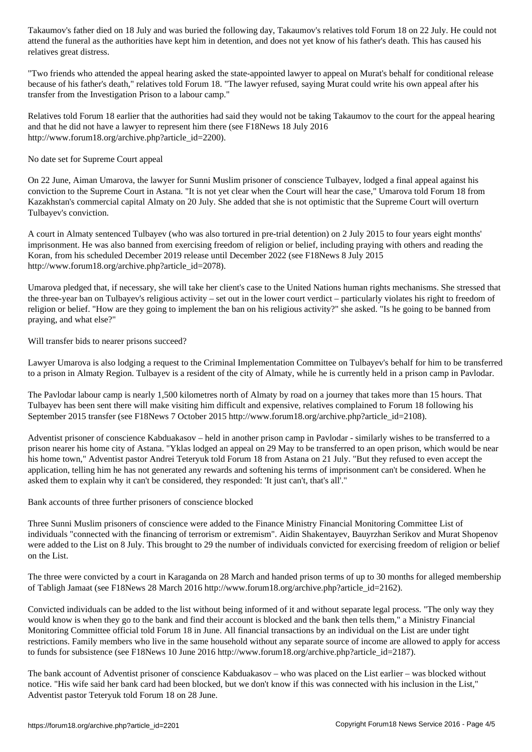attend the authorities have kept him in detention, and does not yet know of him in determinism, and does not y relatives great distress.

"Two friends who attended the appeal hearing asked the state-appointed lawyer to appeal on Murat's behalf for conditional release because of his father's death," relatives told Forum 18. "The lawyer refused, saying Murat could write his own appeal after his transfer from the Investigation Prison to a labour camp."

Relatives told Forum 18 earlier that the authorities had said they would not be taking Takaumov to the court for the appeal hearing and that he did not have a lawyer to represent him there (see F18News 18 July 2016 http://www.forum18.org/archive.php?article\_id=2200).

No date set for Supreme Court appeal

On 22 June, Aiman Umarova, the lawyer for Sunni Muslim prisoner of conscience Tulbayev, lodged a final appeal against his conviction to the Supreme Court in Astana. "It is not yet clear when the Court will hear the case," Umarova told Forum 18 from Kazakhstan's commercial capital Almaty on 20 July. She added that she is not optimistic that the Supreme Court will overturn Tulbayev's conviction.

A court in Almaty sentenced Tulbayev (who was also tortured in pre-trial detention) on 2 July 2015 to four years eight months' imprisonment. He was also banned from exercising freedom of religion or belief, including praying with others and reading the Koran, from his scheduled December 2019 release until December 2022 (see F18News 8 July 2015 http://www.forum18.org/archive.php?article\_id=2078).

Umarova pledged that, if necessary, she will take her client's case to the United Nations human rights mechanisms. She stressed that the three-year ban on Tulbayev's religious activity – set out in the lower court verdict – particularly violates his right to freedom of religion or belief. "How are they going to implement the ban on his religious activity?" she asked. "Is he going to be banned from praying, and what else?"

Will transfer bids to nearer prisons succeed?

Lawyer Umarova is also lodging a request to the Criminal Implementation Committee on Tulbayev's behalf for him to be transferred to a prison in Almaty Region. Tulbayev is a resident of the city of Almaty, while he is currently held in a prison camp in Pavlodar.

The Pavlodar labour camp is nearly 1,500 kilometres north of Almaty by road on a journey that takes more than 15 hours. That Tulbayev has been sent there will make visiting him difficult and expensive, relatives complained to Forum 18 following his September 2015 transfer (see F18News 7 October 2015 http://www.forum18.org/archive.php?article\_id=2108).

Adventist prisoner of conscience Kabduakasov – held in another prison camp in Pavlodar - similarly wishes to be transferred to a prison nearer his home city of Astana. "Yklas lodged an appeal on 29 May to be transferred to an open prison, which would be near his home town," Adventist pastor Andrei Teteryuk told Forum 18 from Astana on 21 July. "But they refused to even accept the application, telling him he has not generated any rewards and softening his terms of imprisonment can't be considered. When he asked them to explain why it can't be considered, they responded: 'It just can't, that's all'."

Bank accounts of three further prisoners of conscience blocked

Three Sunni Muslim prisoners of conscience were added to the Finance Ministry Financial Monitoring Committee List of individuals "connected with the financing of terrorism or extremism". Aidin Shakentayev, Bauyrzhan Serikov and Murat Shopenov were added to the List on 8 July. This brought to 29 the number of individuals convicted for exercising freedom of religion or belief on the List.

The three were convicted by a court in Karaganda on 28 March and handed prison terms of up to 30 months for alleged membership of Tabligh Jamaat (see F18News 28 March 2016 http://www.forum18.org/archive.php?article\_id=2162).

Convicted individuals can be added to the list without being informed of it and without separate legal process. "The only way they would know is when they go to the bank and find their account is blocked and the bank then tells them," a Ministry Financial Monitoring Committee official told Forum 18 in June. All financial transactions by an individual on the List are under tight restrictions. Family members who live in the same household without any separate source of income are allowed to apply for access to funds for subsistence (see F18News 10 June 2016 http://www.forum18.org/archive.php?article\_id=2187).

The bank account of Adventist prisoner of conscience Kabduakasov – who was placed on the List earlier – was blocked without notice. "His wife said her bank card had been blocked, but we don't know if this was connected with his inclusion in the List," Adventist pastor Teteryuk told Forum 18 on 28 June.